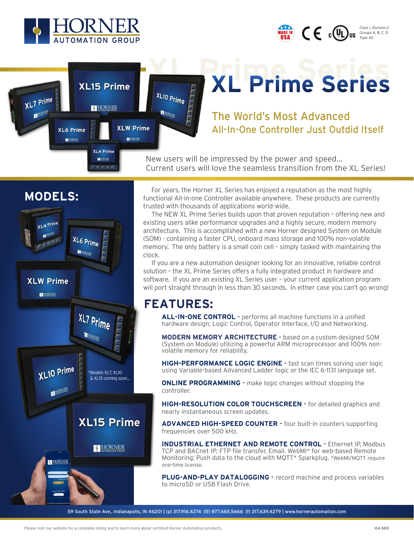

XL6 Prime HORNE

XL7 Prime

HORNER

**XL15 Prime** 

**HORNER** 

XL4 Prime

 $\overline{a}$  and  $\overline{a}$  and  $\overline{a}$ 

**XLW Prime** 

HORNER



XL Prime Series

The World's Most Advanced All-In-One Controller Just Outdid Itself

New users will be impressed by the power and speed... Current users will love the seamless transition from the XL Series!



 For years, the Horner XL Series has enjoyed a reputation as the most highly functional All-in-one Controller available anywhere. These products are currently trusted with thousands of applications world-wide.

 The NEW XL Prime Series builds upon that proven reputation – offering new and existing users alike performance upgrades and a highly secure, modern memory architecture. This is accomplished with a new Horner designed System on Module (SOM) - containing a faster CPU, onboard mass storage and 100% non-volatile memory. The only battery is a small coin cell – simply tasked with maintaining the clock.

 If you are a new automation designer looking for an innovative, reliable control solution – the XL Prime Series offers a fully integrated product in hardware and software. If you are an existing XL Series user – your current application program will port straight through in less than 30 seconds. In either case you can't go wrong!

## **FEATURES:**

XL10 Prime

HORNER

**ALL-IN-ONE CONTROL** - performs all machine functions in a unified hardware design; Logic Control, Operator Interface, I/O and Networking.

**MODERN MEMORY ARCHITECTURE** - based on a custom designed SOM (System on Module) utilizing a powerful ARM microprocessor and 100% nonvolatile memory for reliability.

**HIGH-PERFORMANCE LOGIC ENGINE** - fast scan times solving user logic using Variable-based Advanced Ladder logic or the IEC 6-1131 language set.

**ONLINE PROGRAMMING** - make logic changes without stopping the controller.

**HIGH-RESOLUTION COLOR TOUCHSCREEN** - for detailed graphics and nearly instantaneous screen updates.

**ADVANCED HIGH-SPEED COUNTER** - four built-in counters supporting frequencies over 500 kHz.

**INDUSTRIAL ETHERNET AND REMOTE CONTROL** - Ethernet IP, Modbus TCP and BACnet IP; FTP file transfer, Email. WebMI\* for web-based Remote Monitoring; Push data to the cloud with MQTT\* Sparkplug. \*WebMI/MQTT require one-time license.

**PLUG-AND-PLAY DATALOGGING** - record machine and process variables to microSD or USB Flash Drive.